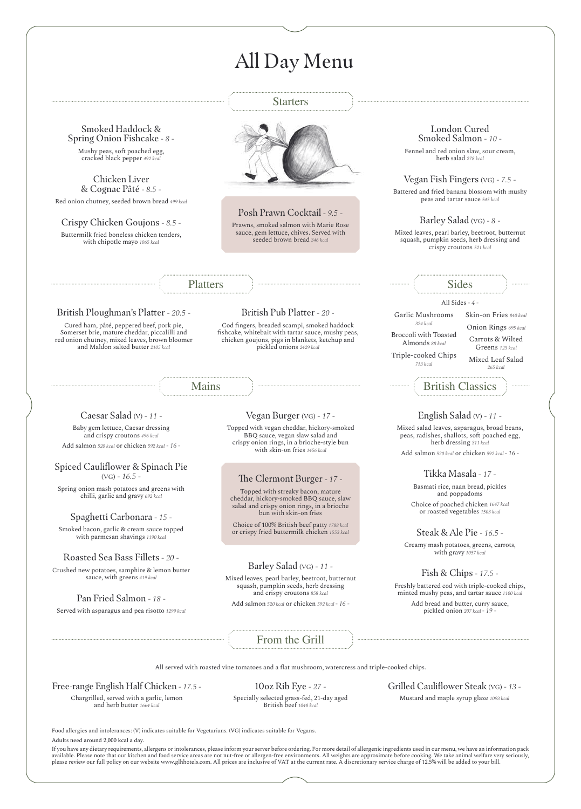# All Day Menu

Starters From the Grill Platters Mains Sides British Classics Smoked Haddock & Spring Onion Fishcake *- 8 -* Mushy peas, soft poached egg, cracked black pepper *492 kcal* Chicken Liver & Cognac Pâté *- 8.5 -* Red onion chutney, seeded brown bread *499 kcal* Crispy Chicken Goujons *- 8.5 -* Buttermilk fried boneless chicken tenders, with chipotle mayo *1065 kcal* British Ploughman's Platter *- 20.5 -* Cured ham, pâté, peppered beef, pork pie, Somerset brie, mature cheddar, piccalilli and red onion chutney, mixed leaves, brown bloomer and Maldon salted butter *2105 kcal* British Pub Platter *- 20 -* Cod fingers, breaded scampi, smoked haddock fishcake, whitebait with tartar sauce, mushy peas, chicken goujons, pigs in blankets, ketchup and pickled onions *2429 kcal* Caesar Salad (V) *- 11 -* Baby gem lettuce, Caesar dressing and crispy croutons *496 kcal* Add salmon *520 kcal* or chicken *592 kcal - 16 -* Spiced Cauliflower & Spinach Pie (VG) *- 16.5 -* Spring onion mash potatoes and greens with chilli, garlic and gravy *692 kcal* Spaghetti Carbonara *- 15 -* Smoked bacon, garlic & cream sauce topped with parmesan shavings *1190 kcal* Roasted Sea Bass Fillets *- 20 -* Crushed new potatoes, samphire & lemon butter sauce, with greens *419 kcal* Pan Fried Salmon *- 18 -* Served with asparagus and pea risotto *1299 kcal* Vegan Burger (VG) *- 17 -* Topped with vegan cheddar, hickory-smoked BBQ sauce, vegan slaw salad and crispy onion rings, in a brioche-style bun with skin-on fries *1456 kcal* Barley Salad (VG) *- 11 -* Mixed leaves, pearl barley, beetroot, butternut squash, pumpkin seeds, herb dressing and crispy croutons *858 kcal* Add salmon *520 kcal* or chicken *592 kcal - 16 -* English Salad (V) *- 11 -* Mixed salad leaves, asparagus, broad beans, peas, radishes, shallots, soft poached egg, herb dressing *311 kcal* Add salmon *520 kcal* or chicken *592 kcal - 16 -* Tikka Masala *- 17 -* Basmati rice, naan bread, pickles and poppadoms Choice of poached chicken *1647 kcal*  or roasted vegetables *1503 kcal* Steak & Ale Pie *- 16.5 -* Creamy mash potatoes, greens, carrots, with gravy *1057 kcal* Fish & Chips *- 17.5 -* Freshly battered cod with triple-cooked chips, minted mushy peas, and tartar sauce *1100 kcal* Add bread and butter, curry sauce, pickled onion *207 kcal - 19 -* All served with roasted vine tomatoes and a flat mushroom, watercress and triple-cooked chips. Free-range English Half Chicken *- 17.5 -* Chargrilled, served with a garlic, lemon 10oz Rib Eye *- 27 -* Grilled Cauliflower Steak (VG) *- 13 -* London Cured Smoked Salmon *- 10 -* Fennel and red onion slaw, sour cream, herb salad *278 kcal* Vegan Fish Fingers (VG) *- 7.5 -* Battered and fried banana blossom with mushy peas and tartar sauce *545 kcal* Barley Salad (VG) *- 8 -* Mixed leaves, pearl barley, beetroot, butternut squash, pumpkin seeds, herb dressing and crispy croutons *521 kcal* All Sides *- 4 -* Garlic Mushrooms *324 kcal* Broccoli with Toasted Almonds *88 kcal* Triple-cooked Chips *713 kcal* Skin-on Fries *840 kcal* Onion Rings *695 kcal* Carrots & Wilted Greens *123 kcal* Mixed Leaf Salad *265 kcal* Posh Prawn Cocktail *- 9.5 -* Prawns, smoked salmon with Marie Rose sauce, gem lettuce, chives. Served with seeded brown bread *346 kcal* The Clermont Burger *- 17 -*  Topped with streaky bacon, mature cheddar, hickory-smoked BBQ sauce, slaw salad and crispy onion rings, in a brioche bun with skin-on fries Choice of 100% British beef patty *1788 kcal*  or crispy fried buttermilk chicken *1553 kcal*

and herb butter *1664 kcal*

Specially selected grass-fed, 21-day aged British beef *1048 kcal*

Mustard and maple syrup glaze *1093 kcal*

Food allergies and intolerances: (V) indicates suitable for Vegetarians. (VG) indicates suitable for Vegans. Adults need around 2,000 kcal a day.

If you have any dietary requirements, allergens or intolerances, please inform your server before ordering. For more detail of allergenic ingredients used in our menu, we have an information pack available. Please note that our kitchen and food service areas are not nut-free or allergen-free environments. All weights are approximate before cooking. We take animal welfare very seriously, please review our full policy on our website www.glhhotels.com. All prices are inclusive of VAT at the current rate. A discretionary service charge of 12.5% will be added to your bill.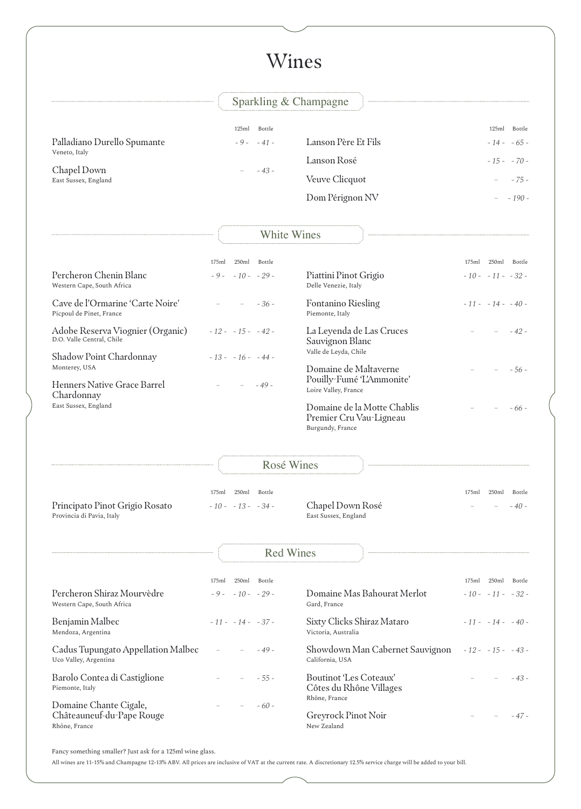# Wines

## Sparkling & Champagne

|                                              | Bottle<br>125ml |                       | Bottle<br>125ml |
|----------------------------------------------|-----------------|-----------------------|-----------------|
| Palladiano Durello Spumante<br>Veneto, Italy | $-9 - -41 -$    | Lanson Père Et Fils   | $-14 - 65 -$    |
|                                              |                 | Lanson Rosé           | $-15 - -70$     |
| Chapel Down<br>East Sussex, England          | $-43-$          | <b>Veuve Clicquot</b> | $-75-$          |
|                                              |                 | Dom Pérignon NV       | - 190 -         |

## White Wines

|                                                               | 250ml<br>175ml      | Bottle |                                                   | 175ml | 250ml               | Bottle |
|---------------------------------------------------------------|---------------------|--------|---------------------------------------------------|-------|---------------------|--------|
| Percheron Chenin Blanc<br>Western Cape, South Africa          | $-9 - -10 - -29 -$  |        | Piattini Pinot Grigio<br>Delle Venezie, Italy     |       | $-10 - -11 - -32 -$ |        |
| Cave de l'Ormarine 'Carte Noire'<br>Picpoul de Pinet, France  |                     | $-36-$ | <b>Fontanino Riesling</b><br>Piemonte, Italy      |       | $-11 - -14 - -40$   |        |
| Adobe Reserva Viognier (Organic)<br>D.O. Valle Central, Chile | $-12 - -15 - -42 -$ |        | La Leyenda de Las Cruces<br>Sauvignon Blanc       |       |                     | $-42-$ |
| <b>Shadow Point Chardonnay</b>                                | $-13 - -16 - -44 -$ |        | Valle de Leyda, Chile                             |       |                     |        |
| Monterey, USA                                                 |                     |        | Domaine de Maltaverne                             |       |                     | - 56 - |
| <b>Henners Native Grace Barrel</b><br>Chardonnay              |                     | $-49-$ | Pouilly-Fumé 'L'Ammonite'<br>Loire Valley, France |       |                     |        |
| East Sussex, England                                          |                     |        | Domaine de la Motte Chablis                       |       |                     | - 66 - |
|                                                               |                     |        | Premier Cru Vau-Ligneau                           |       |                     |        |
|                                                               |                     |        | Burgundy, France                                  |       |                     |        |

## Rosé Wines

|                                | 175ml | 250ml Bottle        |                      | 175ml | 250ml    | Bottle |
|--------------------------------|-------|---------------------|----------------------|-------|----------|--------|
| Principato Pinot Grigio Rosato |       | $-10 - -13 - -34 -$ | Chapel Down Rosé     |       | $- - 40$ |        |
| Provincia di Pavia, Italy      |       |                     | East Sussex, England |       |          |        |

### Red Wines

|                                                                      | 250ml<br>175ml      | Bottle |                                                            | 175ml               | 250ml | Bottle |
|----------------------------------------------------------------------|---------------------|--------|------------------------------------------------------------|---------------------|-------|--------|
| Percheron Shiraz Mourvèdre<br>Western Cape, South Africa             | $-9 - -10 - -29 -$  |        | Domaine Mas Bahourat Merlot<br>Gard, France                | $-10 - -11 - -32 -$ |       |        |
| Benjamin Malbec<br>Mendoza, Argentina                                | $-11 - -14 - -37 -$ |        | Sixty Clicks Shiraz Mataro<br>Victoria, Australia          | $-11 - -14 - -40$   |       |        |
| Cadus Tupungato Appellation Malbec<br>Uco Valley, Argentina          | $\equiv$            | $-49-$ | Showdown Man Cabernet Sauvignon<br>California, USA         | $-12 - -15 - -43 -$ |       |        |
| Barolo Contea di Castiglione<br>Piemonte, Italy                      |                     | $-55-$ | <b>Boutinot 'Les Coteaux'</b><br>Côtes du Rhône Villages   |                     |       | $-43-$ |
| Domaine Chante Cigale,<br>Châteauneuf-du-Pape Rouge<br>Rhône, France |                     | $-60-$ | Rhône, France<br><b>Greyrock Pinot Noir</b><br>New Zealand |                     |       | $-47-$ |

Fancy something smaller? Just ask for a 125ml wine glass.

All wines are 11-15% and Champagne 12-13% ABV. All prices are inclusive of VAT at the current rate. A discretionary 12.5% service charge will be added to your bill.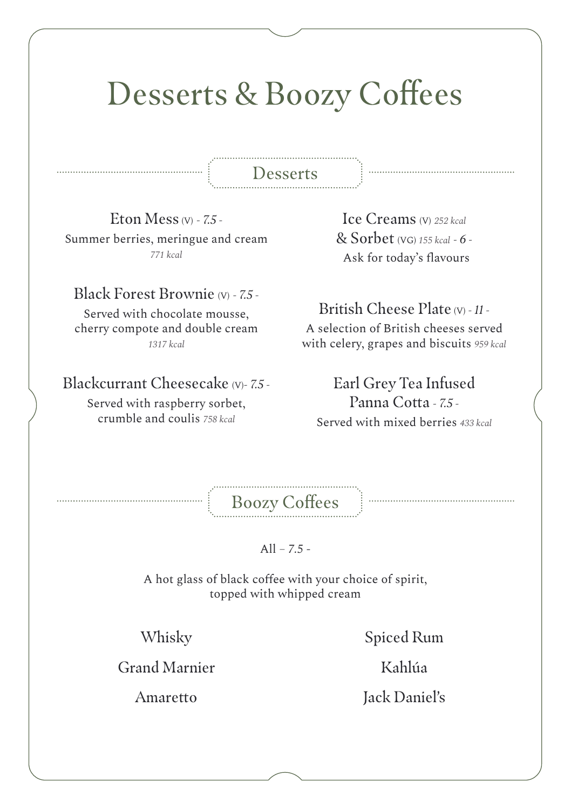## Desserts & Boozy Coffees

### Desserts

Eton Mess (V) *- 7.5 -* Summer berries, meringue and cream *771 kcal*

#### Black Forest Brownie (V) *- 7.5 -*

Served with chocolate mousse, cherry compote and double cream *1317 kcal*

#### Blackcurrant Cheesecake (V)*- 7.5 -*

Served with raspberry sorbet, crumble and coulis *758 kcal*

Ice Creams (V) *252 kcal*  & Sorbet (VG) *155 kcal - 6 -* Ask for today's flavours

### British Cheese Plate (V) *- 11 -*

A selection of British cheeses served with celery, grapes and biscuits *959 kcal*

Earl Grey Tea Infused Panna Cotta *- 7.5 -* Served with mixed berries *433 kcal*

Boozy Coffees

All *– 7.5 -*

A hot glass of black coffee with your choice of spirit, topped with whipped cream

Whisky

Spiced Rum

Grand Marnier

Amaretto

Kahlúa Jack Daniel's